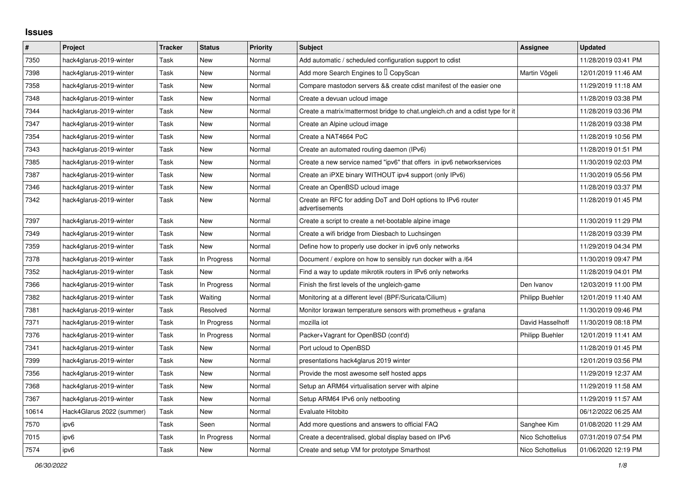## **Issues**

| $\pmb{\#}$ | Project                   | <b>Tracker</b> | <b>Status</b> | <b>Priority</b> | <b>Subject</b>                                                                | <b>Assignee</b>  | <b>Updated</b>      |
|------------|---------------------------|----------------|---------------|-----------------|-------------------------------------------------------------------------------|------------------|---------------------|
| 7350       | hack4glarus-2019-winter   | Task           | New           | Normal          | Add automatic / scheduled configuration support to cdist                      |                  | 11/28/2019 03:41 PM |
| 7398       | hack4glarus-2019-winter   | Task           | New           | Normal          | Add more Search Engines to I CopyScan                                         | Martin Vögeli    | 12/01/2019 11:46 AM |
| 7358       | hack4glarus-2019-winter   | Task           | New           | Normal          | Compare mastodon servers && create cdist manifest of the easier one           |                  | 11/29/2019 11:18 AM |
| 7348       | hack4glarus-2019-winter   | Task           | New           | Normal          | Create a devuan ucloud image                                                  |                  | 11/28/2019 03:38 PM |
| 7344       | hack4glarus-2019-winter   | Task           | New           | Normal          | Create a matrix/mattermost bridge to chat.ungleich.ch and a cdist type for it |                  | 11/28/2019 03:36 PM |
| 7347       | hack4glarus-2019-winter   | Task           | New           | Normal          | Create an Alpine ucloud image                                                 |                  | 11/28/2019 03:38 PM |
| 7354       | hack4glarus-2019-winter   | Task           | New           | Normal          | Create a NAT4664 PoC                                                          |                  | 11/28/2019 10:56 PM |
| 7343       | hack4glarus-2019-winter   | Task           | New           | Normal          | Create an automated routing daemon (IPv6)                                     |                  | 11/28/2019 01:51 PM |
| 7385       | hack4glarus-2019-winter   | Task           | New           | Normal          | Create a new service named "ipv6" that offers in ipv6 networkservices         |                  | 11/30/2019 02:03 PM |
| 7387       | hack4glarus-2019-winter   | Task           | New           | Normal          | Create an iPXE binary WITHOUT ipv4 support (only IPv6)                        |                  | 11/30/2019 05:56 PM |
| 7346       | hack4glarus-2019-winter   | Task           | New           | Normal          | Create an OpenBSD ucloud image                                                |                  | 11/28/2019 03:37 PM |
| 7342       | hack4glarus-2019-winter   | Task           | New           | Normal          | Create an RFC for adding DoT and DoH options to IPv6 router<br>advertisements |                  | 11/28/2019 01:45 PM |
| 7397       | hack4glarus-2019-winter   | Task           | New           | Normal          | Create a script to create a net-bootable alpine image                         |                  | 11/30/2019 11:29 PM |
| 7349       | hack4glarus-2019-winter   | Task           | New           | Normal          | Create a wifi bridge from Diesbach to Luchsingen                              |                  | 11/28/2019 03:39 PM |
| 7359       | hack4glarus-2019-winter   | Task           | New           | Normal          | Define how to properly use docker in ipv6 only networks                       |                  | 11/29/2019 04:34 PM |
| 7378       | hack4glarus-2019-winter   | Task           | In Progress   | Normal          | Document / explore on how to sensibly run docker with a /64                   |                  | 11/30/2019 09:47 PM |
| 7352       | hack4glarus-2019-winter   | Task           | New           | Normal          | Find a way to update mikrotik routers in IPv6 only networks                   |                  | 11/28/2019 04:01 PM |
| 7366       | hack4glarus-2019-winter   | Task           | In Progress   | Normal          | Finish the first levels of the ungleich-game                                  | Den Ivanov       | 12/03/2019 11:00 PM |
| 7382       | hack4glarus-2019-winter   | Task           | Waiting       | Normal          | Monitoring at a different level (BPF/Suricata/Cilium)                         | Philipp Buehler  | 12/01/2019 11:40 AM |
| 7381       | hack4glarus-2019-winter   | Task           | Resolved      | Normal          | Monitor lorawan temperature sensors with prometheus + grafana                 |                  | 11/30/2019 09:46 PM |
| 7371       | hack4glarus-2019-winter   | Task           | In Progress   | Normal          | mozilla iot                                                                   | David Hasselhoff | 11/30/2019 08:18 PM |
| 7376       | hack4glarus-2019-winter   | Task           | In Progress   | Normal          | Packer+Vagrant for OpenBSD (cont'd)                                           | Philipp Buehler  | 12/01/2019 11:41 AM |
| 7341       | hack4glarus-2019-winter   | Task           | New           | Normal          | Port ucloud to OpenBSD                                                        |                  | 11/28/2019 01:45 PM |
| 7399       | hack4glarus-2019-winter   | Task           | New           | Normal          | presentations hack4glarus 2019 winter                                         |                  | 12/01/2019 03:56 PM |
| 7356       | hack4glarus-2019-winter   | Task           | New           | Normal          | Provide the most awesome self hosted apps                                     |                  | 11/29/2019 12:37 AM |
| 7368       | hack4glarus-2019-winter   | Task           | New           | Normal          | Setup an ARM64 virtualisation server with alpine                              |                  | 11/29/2019 11:58 AM |
| 7367       | hack4glarus-2019-winter   | Task           | New           | Normal          | Setup ARM64 IPv6 only netbooting                                              |                  | 11/29/2019 11:57 AM |
| 10614      | Hack4Glarus 2022 (summer) | Task           | New           | Normal          | Evaluate Hitobito                                                             |                  | 06/12/2022 06:25 AM |
| 7570       | ipv6                      | Task           | Seen          | Normal          | Add more questions and answers to official FAQ                                | Sanghee Kim      | 01/08/2020 11:29 AM |
| 7015       | ipv6                      | Task           | In Progress   | Normal          | Create a decentralised, global display based on IPv6                          | Nico Schottelius | 07/31/2019 07:54 PM |
| 7574       | ipv6                      | Task           | New           | Normal          | Create and setup VM for prototype Smarthost                                   | Nico Schottelius | 01/06/2020 12:19 PM |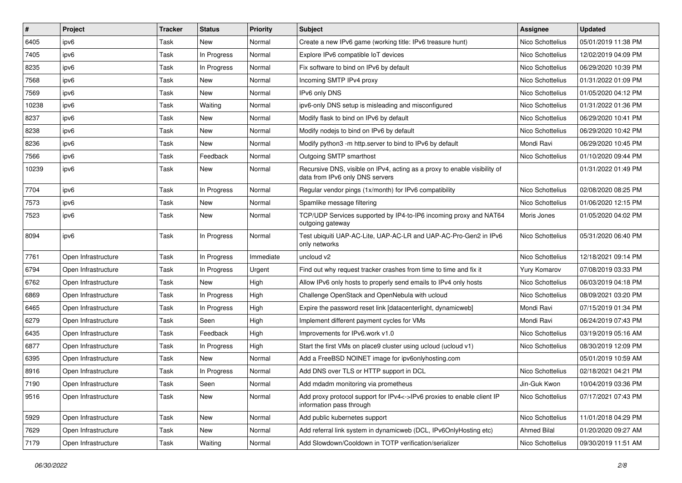| $\vert$ # | Project             | <b>Tracker</b> | <b>Status</b> | <b>Priority</b> | Subject                                                                                                      | <b>Assignee</b>    | <b>Updated</b>      |
|-----------|---------------------|----------------|---------------|-----------------|--------------------------------------------------------------------------------------------------------------|--------------------|---------------------|
| 6405      | ipv6                | Task           | New           | Normal          | Create a new IPv6 game (working title: IPv6 treasure hunt)                                                   | Nico Schottelius   | 05/01/2019 11:38 PM |
| 7405      | ipv6                | Task           | In Progress   | Normal          | Explore IPv6 compatible IoT devices                                                                          | Nico Schottelius   | 12/02/2019 04:09 PM |
| 8235      | ipv6                | Task           | In Progress   | Normal          | Fix software to bind on IPv6 by default                                                                      | Nico Schottelius   | 06/29/2020 10:39 PM |
| 7568      | ipv6                | Task           | New           | Normal          | Incoming SMTP IPv4 proxy                                                                                     | Nico Schottelius   | 01/31/2022 01:09 PM |
| 7569      | ipv6                | Task           | New           | Normal          | IPv6 only DNS                                                                                                | Nico Schottelius   | 01/05/2020 04:12 PM |
| 10238     | ipv6                | Task           | Waiting       | Normal          | ipv6-only DNS setup is misleading and misconfigured                                                          | Nico Schottelius   | 01/31/2022 01:36 PM |
| 8237      | ipv6                | Task           | New           | Normal          | Modify flask to bind on IPv6 by default                                                                      | Nico Schottelius   | 06/29/2020 10:41 PM |
| 8238      | ipv6                | Task           | New           | Normal          | Modify nodejs to bind on IPv6 by default                                                                     | Nico Schottelius   | 06/29/2020 10:42 PM |
| 8236      | ipv6                | Task           | New           | Normal          | Modify python3 -m http.server to bind to IPv6 by default                                                     | Mondi Ravi         | 06/29/2020 10:45 PM |
| 7566      | ipv6                | Task           | Feedback      | Normal          | Outgoing SMTP smarthost                                                                                      | Nico Schottelius   | 01/10/2020 09:44 PM |
| 10239     | ipv6                | Task           | New           | Normal          | Recursive DNS, visible on IPv4, acting as a proxy to enable visibility of<br>data from IPv6 only DNS servers |                    | 01/31/2022 01:49 PM |
| 7704      | ipv6                | Task           | In Progress   | Normal          | Regular vendor pings (1x/month) for IPv6 compatibility                                                       | Nico Schottelius   | 02/08/2020 08:25 PM |
| 7573      | ipv6                | Task           | New           | Normal          | Spamlike message filtering                                                                                   | Nico Schottelius   | 01/06/2020 12:15 PM |
| 7523      | ipv6                | Task           | New           | Normal          | TCP/UDP Services supported by IP4-to-IP6 incoming proxy and NAT64<br>outgoing gateway                        | Moris Jones        | 01/05/2020 04:02 PM |
| 8094      | ipv6                | Task           | In Progress   | Normal          | Test ubiquiti UAP-AC-Lite, UAP-AC-LR and UAP-AC-Pro-Gen2 in IPv6<br>only networks                            | Nico Schottelius   | 05/31/2020 06:40 PM |
| 7761      | Open Infrastructure | Task           | In Progress   | Immediate       | uncloud v2                                                                                                   | Nico Schottelius   | 12/18/2021 09:14 PM |
| 6794      | Open Infrastructure | Task           | In Progress   | Urgent          | Find out why request tracker crashes from time to time and fix it                                            | Yury Komarov       | 07/08/2019 03:33 PM |
| 6762      | Open Infrastructure | Task           | <b>New</b>    | High            | Allow IPv6 only hosts to properly send emails to IPv4 only hosts                                             | Nico Schottelius   | 06/03/2019 04:18 PM |
| 6869      | Open Infrastructure | Task           | In Progress   | High            | Challenge OpenStack and OpenNebula with ucloud                                                               | Nico Schottelius   | 08/09/2021 03:20 PM |
| 6465      | Open Infrastructure | Task           | In Progress   | High            | Expire the password reset link [datacenterlight, dynamicweb]                                                 | Mondi Ravi         | 07/15/2019 01:34 PM |
| 6279      | Open Infrastructure | Task           | Seen          | High            | Implement different payment cycles for VMs                                                                   | Mondi Ravi         | 06/24/2019 07:43 PM |
| 6435      | Open Infrastructure | Task           | Feedback      | High            | Improvements for IPv6.work v1.0                                                                              | Nico Schottelius   | 03/19/2019 05:16 AM |
| 6877      | Open Infrastructure | Task           | In Progress   | High            | Start the first VMs on place9 cluster using ucloud (ucloud v1)                                               | Nico Schottelius   | 08/30/2019 12:09 PM |
| 6395      | Open Infrastructure | Task           | New           | Normal          | Add a FreeBSD NOINET image for ipv6onlyhosting.com                                                           |                    | 05/01/2019 10:59 AM |
| 8916      | Open Infrastructure | Task           | In Progress   | Normal          | Add DNS over TLS or HTTP support in DCL                                                                      | Nico Schottelius   | 02/18/2021 04:21 PM |
| 7190      | Open Infrastructure | Task           | Seen          | Normal          | Add mdadm monitoring via prometheus                                                                          | Jin-Guk Kwon       | 10/04/2019 03:36 PM |
| 9516      | Open Infrastructure | Task           | New           | Normal          | Add proxy protocol support for IPv4<->IPv6 proxies to enable client IP<br>information pass through           | Nico Schottelius   | 07/17/2021 07:43 PM |
| 5929      | Open Infrastructure | Task           | New           | Normal          | Add public kubernetes support                                                                                | Nico Schottelius   | 11/01/2018 04:29 PM |
| 7629      | Open Infrastructure | Task           | New           | Normal          | Add referral link system in dynamicweb (DCL, IPv6OnlyHosting etc)                                            | <b>Ahmed Bilal</b> | 01/20/2020 09:27 AM |
| 7179      | Open Infrastructure | Task           | Waiting       | Normal          | Add Slowdown/Cooldown in TOTP verification/serializer                                                        | Nico Schottelius   | 09/30/2019 11:51 AM |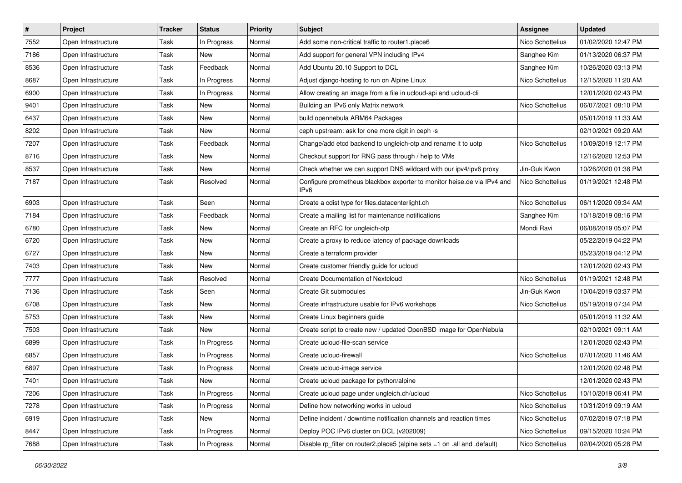| $\vert$ # | Project             | <b>Tracker</b> | <b>Status</b> | <b>Priority</b> | Subject                                                                                     | <b>Assignee</b>  | <b>Updated</b>      |
|-----------|---------------------|----------------|---------------|-----------------|---------------------------------------------------------------------------------------------|------------------|---------------------|
| 7552      | Open Infrastructure | Task           | In Progress   | Normal          | Add some non-critical traffic to router1.place6                                             | Nico Schottelius | 01/02/2020 12:47 PM |
| 7186      | Open Infrastructure | Task           | New           | Normal          | Add support for general VPN including IPv4                                                  | Sanghee Kim      | 01/13/2020 06:37 PM |
| 8536      | Open Infrastructure | Task           | Feedback      | Normal          | Add Ubuntu 20.10 Support to DCL                                                             | Sanghee Kim      | 10/26/2020 03:13 PM |
| 8687      | Open Infrastructure | Task           | In Progress   | Normal          | Adjust diango-hosting to run on Alpine Linux                                                | Nico Schottelius | 12/15/2020 11:20 AM |
| 6900      | Open Infrastructure | Task           | In Progress   | Normal          | Allow creating an image from a file in ucloud-api and ucloud-cli                            |                  | 12/01/2020 02:43 PM |
| 9401      | Open Infrastructure | Task           | New           | Normal          | Building an IPv6 only Matrix network                                                        | Nico Schottelius | 06/07/2021 08:10 PM |
| 6437      | Open Infrastructure | Task           | New           | Normal          | build opennebula ARM64 Packages                                                             |                  | 05/01/2019 11:33 AM |
| 8202      | Open Infrastructure | Task           | New           | Normal          | ceph upstream: ask for one more digit in ceph -s                                            |                  | 02/10/2021 09:20 AM |
| 7207      | Open Infrastructure | Task           | Feedback      | Normal          | Change/add etcd backend to ungleich-otp and rename it to uotp                               | Nico Schottelius | 10/09/2019 12:17 PM |
| 8716      | Open Infrastructure | Task           | New           | Normal          | Checkout support for RNG pass through / help to VMs                                         |                  | 12/16/2020 12:53 PM |
| 8537      | Open Infrastructure | Task           | New           | Normal          | Check whether we can support DNS wildcard with our ipv4/ipv6 proxy                          | Jin-Guk Kwon     | 10/26/2020 01:38 PM |
| 7187      | Open Infrastructure | Task           | Resolved      | Normal          | Configure prometheus blackbox exporter to monitor heise.de via IPv4 and<br>IP <sub>v6</sub> | Nico Schottelius | 01/19/2021 12:48 PM |
| 6903      | Open Infrastructure | Task           | Seen          | Normal          | Create a cdist type for files.datacenterlight.ch                                            | Nico Schottelius | 06/11/2020 09:34 AM |
| 7184      | Open Infrastructure | Task           | Feedback      | Normal          | Create a mailing list for maintenance notifications                                         | Sanghee Kim      | 10/18/2019 08:16 PM |
| 6780      | Open Infrastructure | Task           | New           | Normal          | Create an RFC for ungleich-otp                                                              | Mondi Ravi       | 06/08/2019 05:07 PM |
| 6720      | Open Infrastructure | Task           | New           | Normal          | Create a proxy to reduce latency of package downloads                                       |                  | 05/22/2019 04:22 PM |
| 6727      | Open Infrastructure | Task           | New           | Normal          | Create a terraform provider                                                                 |                  | 05/23/2019 04:12 PM |
| 7403      | Open Infrastructure | Task           | New           | Normal          | Create customer friendly guide for ucloud                                                   |                  | 12/01/2020 02:43 PM |
| 7777      | Open Infrastructure | Task           | Resolved      | Normal          | <b>Create Documentation of Nextcloud</b>                                                    | Nico Schottelius | 01/19/2021 12:48 PM |
| 7136      | Open Infrastructure | Task           | Seen          | Normal          | Create Git submodules                                                                       | Jin-Guk Kwon     | 10/04/2019 03:37 PM |
| 6708      | Open Infrastructure | Task           | New           | Normal          | Create infrastructure usable for IPv6 workshops                                             | Nico Schottelius | 05/19/2019 07:34 PM |
| 5753      | Open Infrastructure | Task           | New           | Normal          | Create Linux beginners guide                                                                |                  | 05/01/2019 11:32 AM |
| 7503      | Open Infrastructure | Task           | New           | Normal          | Create script to create new / updated OpenBSD image for OpenNebula                          |                  | 02/10/2021 09:11 AM |
| 6899      | Open Infrastructure | Task           | In Progress   | Normal          | Create ucloud-file-scan service                                                             |                  | 12/01/2020 02:43 PM |
| 6857      | Open Infrastructure | Task           | In Progress   | Normal          | Create ucloud-firewall                                                                      | Nico Schottelius | 07/01/2020 11:46 AM |
| 6897      | Open Infrastructure | Task           | In Progress   | Normal          | Create ucloud-image service                                                                 |                  | 12/01/2020 02:48 PM |
| 7401      | Open Infrastructure | Task           | New           | Normal          | Create ucloud package for python/alpine                                                     |                  | 12/01/2020 02:43 PM |
| 7206      | Open Infrastructure | Task           | In Progress   | Normal          | Create ucloud page under ungleich.ch/ucloud                                                 | Nico Schottelius | 10/10/2019 06:41 PM |
| 7278      | Open Infrastructure | Task           | In Progress   | Normal          | Define how networking works in ucloud                                                       | Nico Schottelius | 10/31/2019 09:19 AM |
| 6919      | Open Infrastructure | Task           | New           | Normal          | Define incident / downtime notification channels and reaction times                         | Nico Schottelius | 07/02/2019 07:18 PM |
| 8447      | Open Infrastructure | Task           | In Progress   | Normal          | Deploy POC IPv6 cluster on DCL (v202009)                                                    | Nico Schottelius | 09/15/2020 10:24 PM |
| 7688      | Open Infrastructure | Task           | In Progress   | Normal          | Disable rp_filter on router2.place5 (alpine sets =1 on .all and .default)                   | Nico Schottelius | 02/04/2020 05:28 PM |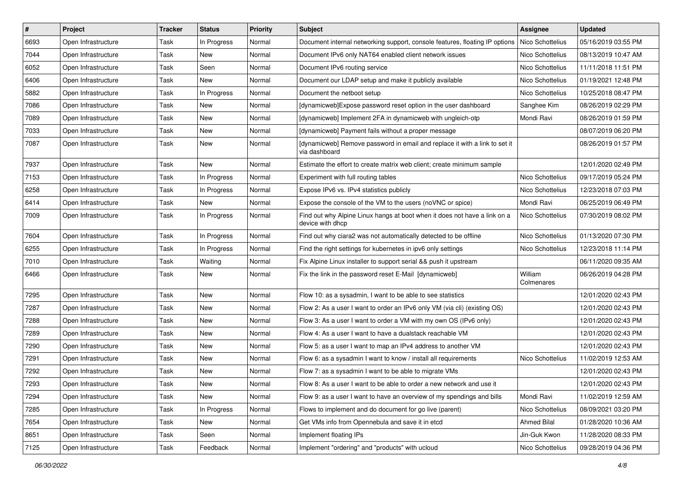| $\vert$ # | Project             | <b>Tracker</b> | <b>Status</b> | <b>Priority</b> | Subject                                                                                       | Assignee              | <b>Updated</b>      |
|-----------|---------------------|----------------|---------------|-----------------|-----------------------------------------------------------------------------------------------|-----------------------|---------------------|
| 6693      | Open Infrastructure | Task           | In Progress   | Normal          | Document internal networking support, console features, floating IP options                   | Nico Schottelius      | 05/16/2019 03:55 PM |
| 7044      | Open Infrastructure | Task           | New           | Normal          | Document IPv6 only NAT64 enabled client network issues                                        | Nico Schottelius      | 08/13/2019 10:47 AM |
| 6052      | Open Infrastructure | Task           | Seen          | Normal          | Document IPv6 routing service                                                                 | Nico Schottelius      | 11/11/2018 11:51 PM |
| 6406      | Open Infrastructure | Task           | New           | Normal          | Document our LDAP setup and make it publicly available                                        | Nico Schottelius      | 01/19/2021 12:48 PM |
| 5882      | Open Infrastructure | Task           | In Progress   | Normal          | Document the netboot setup                                                                    | Nico Schottelius      | 10/25/2018 08:47 PM |
| 7086      | Open Infrastructure | Task           | New           | Normal          | [dynamicweb]Expose password reset option in the user dashboard                                | Sanghee Kim           | 08/26/2019 02:29 PM |
| 7089      | Open Infrastructure | Task           | New           | Normal          | [dynamicweb] Implement 2FA in dynamicweb with ungleich-otp                                    | Mondi Ravi            | 08/26/2019 01:59 PM |
| 7033      | Open Infrastructure | Task           | New           | Normal          | [dynamicweb] Payment fails without a proper message                                           |                       | 08/07/2019 06:20 PM |
| 7087      | Open Infrastructure | Task           | New           | Normal          | [dynamicweb] Remove password in email and replace it with a link to set it<br>via dashboard   |                       | 08/26/2019 01:57 PM |
| 7937      | Open Infrastructure | Task           | New           | Normal          | Estimate the effort to create matrix web client; create minimum sample                        |                       | 12/01/2020 02:49 PM |
| 7153      | Open Infrastructure | Task           | In Progress   | Normal          | Experiment with full routing tables                                                           | Nico Schottelius      | 09/17/2019 05:24 PM |
| 6258      | Open Infrastructure | Task           | In Progress   | Normal          | Expose IPv6 vs. IPv4 statistics publicly                                                      | Nico Schottelius      | 12/23/2018 07:03 PM |
| 6414      | Open Infrastructure | Task           | New           | Normal          | Expose the console of the VM to the users (noVNC or spice)                                    | Mondi Ravi            | 06/25/2019 06:49 PM |
| 7009      | Open Infrastructure | Task           | In Progress   | Normal          | Find out why Alpine Linux hangs at boot when it does not have a link on a<br>device with dhcp | Nico Schottelius      | 07/30/2019 08:02 PM |
| 7604      | Open Infrastructure | Task           | In Progress   | Normal          | Find out why ciara2 was not automatically detected to be offline                              | Nico Schottelius      | 01/13/2020 07:30 PM |
| 6255      | Open Infrastructure | Task           | In Progress   | Normal          | Find the right settings for kubernetes in ipv6 only settings                                  | Nico Schottelius      | 12/23/2018 11:14 PM |
| 7010      | Open Infrastructure | Task           | Waiting       | Normal          | Fix Alpine Linux installer to support serial && push it upstream                              |                       | 06/11/2020 09:35 AM |
| 6466      | Open Infrastructure | Task           | New           | Normal          | Fix the link in the password reset E-Mail [dynamicweb]                                        | William<br>Colmenares | 06/26/2019 04:28 PM |
| 7295      | Open Infrastructure | Task           | New           | Normal          | Flow 10: as a sysadmin, I want to be able to see statistics                                   |                       | 12/01/2020 02:43 PM |
| 7287      | Open Infrastructure | Task           | New           | Normal          | Flow 2: As a user I want to order an IPv6 only VM (via cli) (existing OS)                     |                       | 12/01/2020 02:43 PM |
| 7288      | Open Infrastructure | Task           | New           | Normal          | Flow 3: As a user I want to order a VM with my own OS (IPv6 only)                             |                       | 12/01/2020 02:43 PM |
| 7289      | Open Infrastructure | Task           | New           | Normal          | Flow 4: As a user I want to have a dualstack reachable VM                                     |                       | 12/01/2020 02:43 PM |
| 7290      | Open Infrastructure | Task           | New           | Normal          | Flow 5: as a user I want to map an IPv4 address to another VM                                 |                       | 12/01/2020 02:43 PM |
| 7291      | Open Infrastructure | Task           | New           | Normal          | Flow 6: as a sysadmin I want to know / install all requirements                               | Nico Schottelius      | 11/02/2019 12:53 AM |
| 7292      | Open Infrastructure | Task           | New           | Normal          | Flow 7: as a sysadmin I want to be able to migrate VMs                                        |                       | 12/01/2020 02:43 PM |
| 7293      | Open Infrastructure | Task           | New           | Normal          | Flow 8: As a user I want to be able to order a new network and use it                         |                       | 12/01/2020 02:43 PM |
| 7294      | Open Infrastructure | Task           | New           | Normal          | Flow 9: as a user I want to have an overview of my spendings and bills                        | Mondi Ravi            | 11/02/2019 12:59 AM |
| 7285      | Open Infrastructure | Task           | In Progress   | Normal          | Flows to implement and do document for go live (parent)                                       | Nico Schottelius      | 08/09/2021 03:20 PM |
| 7654      | Open Infrastructure | Task           | New           | Normal          | Get VMs info from Opennebula and save it in etcd                                              | <b>Ahmed Bilal</b>    | 01/28/2020 10:36 AM |
| 8651      | Open Infrastructure | Task           | Seen          | Normal          | Implement floating IPs                                                                        | Jin-Guk Kwon          | 11/28/2020 08:33 PM |
| 7125      | Open Infrastructure | Task           | Feedback      | Normal          | Implement "ordering" and "products" with ucloud                                               | Nico Schottelius      | 09/28/2019 04:36 PM |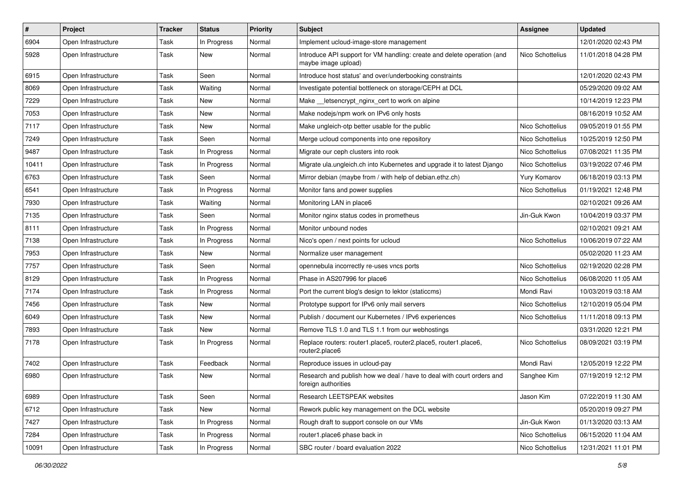| $\pmb{\#}$ | Project             | <b>Tracker</b> | <b>Status</b> | <b>Priority</b> | <b>Subject</b>                                                                                 | <b>Assignee</b>  | <b>Updated</b>      |
|------------|---------------------|----------------|---------------|-----------------|------------------------------------------------------------------------------------------------|------------------|---------------------|
| 6904       | Open Infrastructure | Task           | In Progress   | Normal          | Implement ucloud-image-store management                                                        |                  | 12/01/2020 02:43 PM |
| 5928       | Open Infrastructure | Task           | New           | Normal          | Introduce API support for VM handling: create and delete operation (and<br>maybe image upload) | Nico Schottelius | 11/01/2018 04:28 PM |
| 6915       | Open Infrastructure | Task           | Seen          | Normal          | Introduce host status' and over/underbooking constraints                                       |                  | 12/01/2020 02:43 PM |
| 8069       | Open Infrastructure | Task           | Waiting       | Normal          | Investigate potential bottleneck on storage/CEPH at DCL                                        |                  | 05/29/2020 09:02 AM |
| 7229       | Open Infrastructure | Task           | New           | Normal          | Make letsencrypt nginx cert to work on alpine                                                  |                  | 10/14/2019 12:23 PM |
| 7053       | Open Infrastructure | Task           | New           | Normal          | Make nodejs/npm work on IPv6 only hosts                                                        |                  | 08/16/2019 10:52 AM |
| 7117       | Open Infrastructure | Task           | New           | Normal          | Make ungleich-otp better usable for the public                                                 | Nico Schottelius | 09/05/2019 01:55 PM |
| 7249       | Open Infrastructure | Task           | Seen          | Normal          | Merge ucloud components into one repository                                                    | Nico Schottelius | 10/25/2019 12:50 PM |
| 9487       | Open Infrastructure | Task           | In Progress   | Normal          | Migrate our ceph clusters into rook                                                            | Nico Schottelius | 07/08/2021 11:35 PM |
| 10411      | Open Infrastructure | Task           | In Progress   | Normal          | Migrate ula.ungleich.ch into Kubernetes and upgrade it to latest Django                        | Nico Schottelius | 03/19/2022 07:46 PM |
| 6763       | Open Infrastructure | Task           | Seen          | Normal          | Mirror debian (maybe from / with help of debian.ethz.ch)                                       | Yury Komarov     | 06/18/2019 03:13 PM |
| 6541       | Open Infrastructure | Task           | In Progress   | Normal          | Monitor fans and power supplies                                                                | Nico Schottelius | 01/19/2021 12:48 PM |
| 7930       | Open Infrastructure | Task           | Waiting       | Normal          | Monitoring LAN in place6                                                                       |                  | 02/10/2021 09:26 AM |
| 7135       | Open Infrastructure | Task           | Seen          | Normal          | Monitor nginx status codes in prometheus                                                       | Jin-Guk Kwon     | 10/04/2019 03:37 PM |
| 8111       | Open Infrastructure | Task           | In Progress   | Normal          | Monitor unbound nodes                                                                          |                  | 02/10/2021 09:21 AM |
| 7138       | Open Infrastructure | Task           | In Progress   | Normal          | Nico's open / next points for ucloud                                                           | Nico Schottelius | 10/06/2019 07:22 AM |
| 7953       | Open Infrastructure | Task           | New           | Normal          | Normalize user management                                                                      |                  | 05/02/2020 11:23 AM |
| 7757       | Open Infrastructure | Task           | Seen          | Normal          | opennebula incorrectly re-uses vncs ports                                                      | Nico Schottelius | 02/19/2020 02:28 PM |
| 8129       | Open Infrastructure | Task           | In Progress   | Normal          | Phase in AS207996 for place6                                                                   | Nico Schottelius | 06/08/2020 11:05 AM |
| 7174       | Open Infrastructure | Task           | In Progress   | Normal          | Port the current blog's design to lektor (staticcms)                                           | Mondi Ravi       | 10/03/2019 03:18 AM |
| 7456       | Open Infrastructure | Task           | New           | Normal          | Prototype support for IPv6 only mail servers                                                   | Nico Schottelius | 12/10/2019 05:04 PM |
| 6049       | Open Infrastructure | Task           | New           | Normal          | Publish / document our Kubernetes / IPv6 experiences                                           | Nico Schottelius | 11/11/2018 09:13 PM |
| 7893       | Open Infrastructure | Task           | New           | Normal          | Remove TLS 1.0 and TLS 1.1 from our webhostings                                                |                  | 03/31/2020 12:21 PM |
| 7178       | Open Infrastructure | Task           | In Progress   | Normal          | Replace routers: router1.place5, router2.place5, router1.place6,<br>router2.place6             | Nico Schottelius | 08/09/2021 03:19 PM |
| 7402       | Open Infrastructure | Task           | Feedback      | Normal          | Reproduce issues in ucloud-pay                                                                 | Mondi Ravi       | 12/05/2019 12:22 PM |
| 6980       | Open Infrastructure | Task           | New           | Normal          | Research and publish how we deal / have to deal with court orders and<br>foreign authorities   | Sanghee Kim      | 07/19/2019 12:12 PM |
| 6989       | Open Infrastructure | Task           | Seen          | Normal          | Research LEETSPEAK websites                                                                    | Jason Kim        | 07/22/2019 11:30 AM |
| 6712       | Open Infrastructure | Task           | New           | Normal          | Rework public key management on the DCL website                                                |                  | 05/20/2019 09:27 PM |
| 7427       | Open Infrastructure | Task           | In Progress   | Normal          | Rough draft to support console on our VMs                                                      | Jin-Guk Kwon     | 01/13/2020 03:13 AM |
| 7284       | Open Infrastructure | Task           | In Progress   | Normal          | router1.place6 phase back in                                                                   | Nico Schottelius | 06/15/2020 11:04 AM |
| 10091      | Open Infrastructure | Task           | In Progress   | Normal          | SBC router / board evaluation 2022                                                             | Nico Schottelius | 12/31/2021 11:01 PM |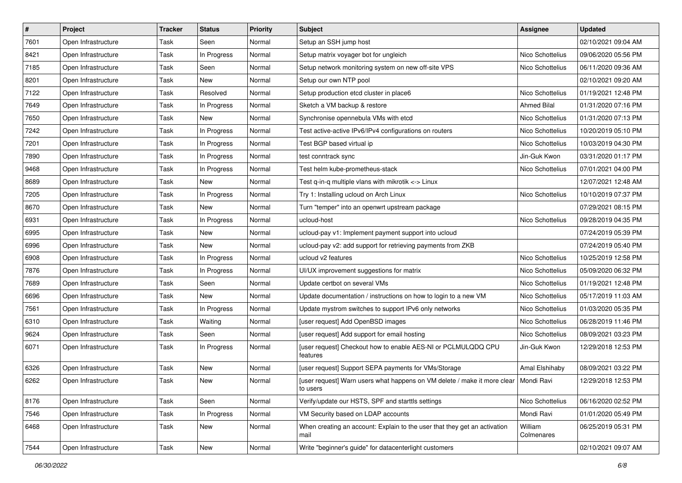| $\vert$ # | Project             | <b>Tracker</b> | <b>Status</b> | <b>Priority</b> | Subject                                                                                           | <b>Assignee</b>       | <b>Updated</b>      |
|-----------|---------------------|----------------|---------------|-----------------|---------------------------------------------------------------------------------------------------|-----------------------|---------------------|
| 7601      | Open Infrastructure | Task           | Seen          | Normal          | Setup an SSH jump host                                                                            |                       | 02/10/2021 09:04 AM |
| 8421      | Open Infrastructure | Task           | In Progress   | Normal          | Setup matrix voyager bot for ungleich                                                             | Nico Schottelius      | 09/06/2020 05:56 PM |
| 7185      | Open Infrastructure | Task           | Seen          | Normal          | Setup network monitoring system on new off-site VPS                                               | Nico Schottelius      | 06/11/2020 09:36 AM |
| 8201      | Open Infrastructure | Task           | New           | Normal          | Setup our own NTP pool                                                                            |                       | 02/10/2021 09:20 AM |
| 7122      | Open Infrastructure | Task           | Resolved      | Normal          | Setup production etcd cluster in place6                                                           | Nico Schottelius      | 01/19/2021 12:48 PM |
| 7649      | Open Infrastructure | Task           | In Progress   | Normal          | Sketch a VM backup & restore                                                                      | <b>Ahmed Bilal</b>    | 01/31/2020 07:16 PM |
| 7650      | Open Infrastructure | Task           | New           | Normal          | Synchronise opennebula VMs with etcd                                                              | Nico Schottelius      | 01/31/2020 07:13 PM |
| 7242      | Open Infrastructure | Task           | In Progress   | Normal          | Test active-active IPv6/IPv4 configurations on routers                                            | Nico Schottelius      | 10/20/2019 05:10 PM |
| 7201      | Open Infrastructure | Task           | In Progress   | Normal          | Test BGP based virtual ip                                                                         | Nico Schottelius      | 10/03/2019 04:30 PM |
| 7890      | Open Infrastructure | Task           | In Progress   | Normal          | test conntrack sync                                                                               | Jin-Guk Kwon          | 03/31/2020 01:17 PM |
| 9468      | Open Infrastructure | Task           | In Progress   | Normal          | Test helm kube-prometheus-stack                                                                   | Nico Schottelius      | 07/01/2021 04:00 PM |
| 8689      | Open Infrastructure | Task           | New           | Normal          | Test q-in-q multiple vlans with mikrotik <-> Linux                                                |                       | 12/07/2021 12:48 AM |
| 7205      | Open Infrastructure | Task           | In Progress   | Normal          | Try 1: Installing ucloud on Arch Linux                                                            | Nico Schottelius      | 10/10/2019 07:37 PM |
| 8670      | Open Infrastructure | Task           | New           | Normal          | Turn "temper" into an openwrt upstream package                                                    |                       | 07/29/2021 08:15 PM |
| 6931      | Open Infrastructure | Task           | In Progress   | Normal          | ucloud-host                                                                                       | Nico Schottelius      | 09/28/2019 04:35 PM |
| 6995      | Open Infrastructure | Task           | New           | Normal          | ucloud-pay v1: Implement payment support into ucloud                                              |                       | 07/24/2019 05:39 PM |
| 6996      | Open Infrastructure | Task           | New           | Normal          | ucloud-pay v2: add support for retrieving payments from ZKB                                       |                       | 07/24/2019 05:40 PM |
| 6908      | Open Infrastructure | Task           | In Progress   | Normal          | ucloud v2 features                                                                                | Nico Schottelius      | 10/25/2019 12:58 PM |
| 7876      | Open Infrastructure | Task           | In Progress   | Normal          | UI/UX improvement suggestions for matrix                                                          | Nico Schottelius      | 05/09/2020 06:32 PM |
| 7689      | Open Infrastructure | Task           | Seen          | Normal          | Update certbot on several VMs                                                                     | Nico Schottelius      | 01/19/2021 12:48 PM |
| 6696      | Open Infrastructure | Task           | New           | Normal          | Update documentation / instructions on how to login to a new VM                                   | Nico Schottelius      | 05/17/2019 11:03 AM |
| 7561      | Open Infrastructure | Task           | In Progress   | Normal          | Update mystrom switches to support IPv6 only networks                                             | Nico Schottelius      | 01/03/2020 05:35 PM |
| 6310      | Open Infrastructure | Task           | Waiting       | Normal          | [user request] Add OpenBSD images                                                                 | Nico Schottelius      | 06/28/2019 11:46 PM |
| 9624      | Open Infrastructure | Task           | Seen          | Normal          | [user request] Add support for email hosting                                                      | Nico Schottelius      | 08/09/2021 03:23 PM |
| 6071      | Open Infrastructure | Task           | In Progress   | Normal          | [user request] Checkout how to enable AES-NI or PCLMULQDQ CPU<br>features                         | Jin-Guk Kwon          | 12/29/2018 12:53 PM |
| 6326      | Open Infrastructure | Task           | New           | Normal          | [user request] Support SEPA payments for VMs/Storage                                              | Amal Elshihaby        | 08/09/2021 03:22 PM |
| 6262      | Open Infrastructure | Task           | New           | Normal          | [user request] Warn users what happens on VM delete / make it more clear   Mondi Ravi<br>to users |                       | 12/29/2018 12:53 PM |
| 8176      | Open Infrastructure | Task           | Seen          | Normal          | Verify/update our HSTS, SPF and starttls settings                                                 | Nico Schottelius      | 06/16/2020 02:52 PM |
| 7546      | Open Infrastructure | Task           | In Progress   | Normal          | VM Security based on LDAP accounts                                                                | Mondi Ravi            | 01/01/2020 05:49 PM |
| 6468      | Open Infrastructure | Task           | New           | Normal          | When creating an account: Explain to the user that they get an activation<br>mail                 | William<br>Colmenares | 06/25/2019 05:31 PM |
| 7544      | Open Infrastructure | Task           | New           | Normal          | Write "beginner's guide" for datacenterlight customers                                            |                       | 02/10/2021 09:07 AM |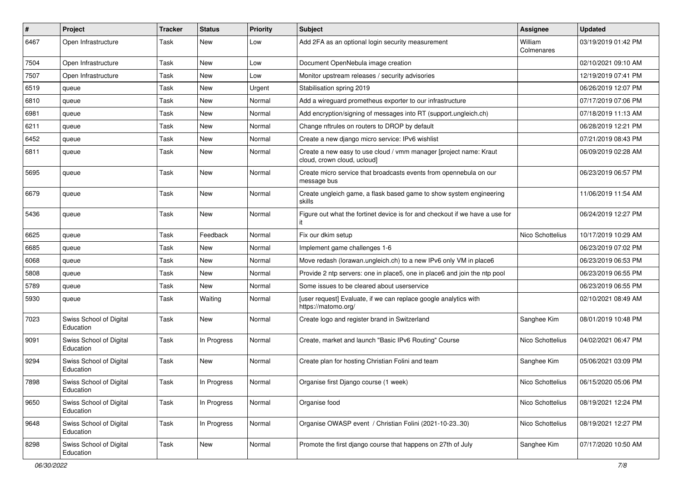| #    | Project                              | <b>Tracker</b> | <b>Status</b> | <b>Priority</b> | <b>Subject</b>                                                                                   | Assignee              | <b>Updated</b>      |
|------|--------------------------------------|----------------|---------------|-----------------|--------------------------------------------------------------------------------------------------|-----------------------|---------------------|
| 6467 | Open Infrastructure                  | Task           | New           | Low             | Add 2FA as an optional login security measurement                                                | William<br>Colmenares | 03/19/2019 01:42 PM |
| 7504 | Open Infrastructure                  | Task           | New           | Low             | Document OpenNebula image creation                                                               |                       | 02/10/2021 09:10 AM |
| 7507 | Open Infrastructure                  | Task           | New           | Low             | Monitor upstream releases / security advisories                                                  |                       | 12/19/2019 07:41 PM |
| 6519 | queue                                | Task           | New           | Urgent          | Stabilisation spring 2019                                                                        |                       | 06/26/2019 12:07 PM |
| 6810 | queue                                | Task           | <b>New</b>    | Normal          | Add a wireguard prometheus exporter to our infrastructure                                        |                       | 07/17/2019 07:06 PM |
| 6981 | queue                                | Task           | New           | Normal          | Add encryption/signing of messages into RT (support.ungleich.ch)                                 |                       | 07/18/2019 11:13 AM |
| 6211 | queue                                | Task           | New           | Normal          | Change nftrules on routers to DROP by default                                                    |                       | 06/28/2019 12:21 PM |
| 6452 | queue                                | Task           | New           | Normal          | Create a new django micro service: IPv6 wishlist                                                 |                       | 07/21/2019 08:43 PM |
| 6811 | queue                                | Task           | New           | Normal          | Create a new easy to use cloud / vmm manager [project name: Kraut<br>cloud, crown cloud, ucloud] |                       | 06/09/2019 02:28 AM |
| 5695 | queue                                | Task           | New           | Normal          | Create micro service that broadcasts events from opennebula on our<br>message bus                |                       | 06/23/2019 06:57 PM |
| 6679 | queue                                | Task           | <b>New</b>    | Normal          | Create ungleich game, a flask based game to show system engineering<br>skills                    |                       | 11/06/2019 11:54 AM |
| 5436 | queue                                | Task           | New           | Normal          | Figure out what the fortinet device is for and checkout if we have a use for                     |                       | 06/24/2019 12:27 PM |
| 6625 | queue                                | Task           | Feedback      | Normal          | Fix our dkim setup                                                                               | Nico Schottelius      | 10/17/2019 10:29 AM |
| 6685 | queue                                | Task           | New           | Normal          | Implement game challenges 1-6                                                                    |                       | 06/23/2019 07:02 PM |
| 6068 | queue                                | Task           | New           | Normal          | Move redash (lorawan.ungleich.ch) to a new IPv6 only VM in place6                                |                       | 06/23/2019 06:53 PM |
| 5808 | queue                                | Task           | New           | Normal          | Provide 2 ntp servers: one in place5, one in place6 and join the ntp pool                        |                       | 06/23/2019 06:55 PM |
| 5789 | queue                                | Task           | <b>New</b>    | Normal          | Some issues to be cleared about userservice                                                      |                       | 06/23/2019 06:55 PM |
| 5930 | queue                                | Task           | Waiting       | Normal          | [user request] Evaluate, if we can replace google analytics with<br>https://matomo.org/          |                       | 02/10/2021 08:49 AM |
| 7023 | Swiss School of Digital<br>Education | Task           | New           | Normal          | Create logo and register brand in Switzerland                                                    | Sanghee Kim           | 08/01/2019 10:48 PM |
| 9091 | Swiss School of Digital<br>Education | Task           | In Progress   | Normal          | Create, market and launch "Basic IPv6 Routing" Course                                            | Nico Schottelius      | 04/02/2021 06:47 PM |
| 9294 | Swiss School of Digital<br>Education | Task           | <b>New</b>    | Normal          | Create plan for hosting Christian Folini and team                                                | Sanghee Kim           | 05/06/2021 03:09 PM |
| 7898 | Swiss School of Digital<br>Education | Task           | In Progress   | Normal          | Organise first Django course (1 week)                                                            | Nico Schottelius      | 06/15/2020 05:06 PM |
| 9650 | Swiss School of Digital<br>Education | Task           | In Progress   | Normal          | Organise food                                                                                    | Nico Schottelius      | 08/19/2021 12:24 PM |
| 9648 | Swiss School of Digital<br>Education | Task           | In Progress   | Normal          | Organise OWASP event / Christian Folini (2021-10-2330)                                           | Nico Schottelius      | 08/19/2021 12:27 PM |
| 8298 | Swiss School of Digital<br>Education | Task           | New           | Normal          | Promote the first django course that happens on 27th of July                                     | Sanghee Kim           | 07/17/2020 10:50 AM |